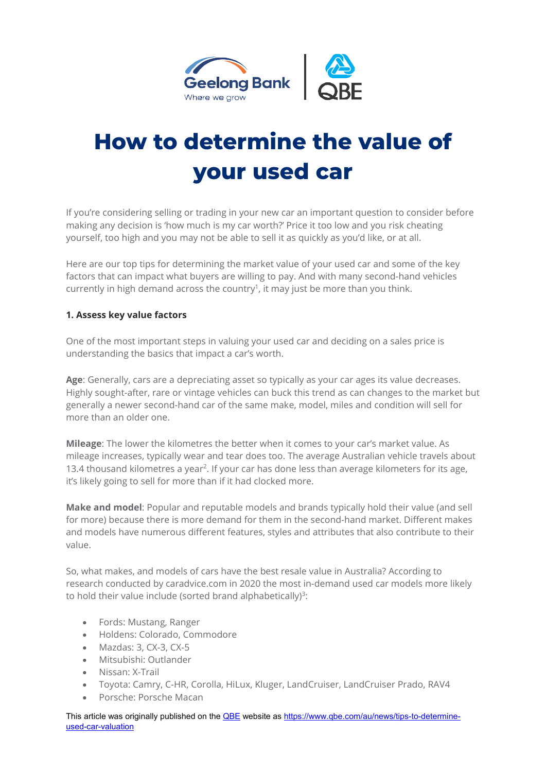

# **How to determine the value of your used car**

If you're considering selling or trading in your new car an important question to consider before making any decision is 'how much is my car worth?' Price it too low and you risk cheating yourself, too high and you may not be able to sell it as quickly as you'd like, or at all.

Here are our top tips for determining the market value of your used car and some of the key factors that can impact what buyers are willing to pay. And with many second-hand vehicles currently in high demand across the country<sup>1</sup>, it may just be more than you think.

### **1. Assess key value factors**

One of the most important steps in valuing your used car and deciding on a sales price is understanding the basics that impact a car's worth.

**Age**: Generally, cars are a depreciating asset so typically as your car ages its value decreases. Highly sought-after, rare or vintage vehicles can buck this trend as can changes to the market but generally a newer second-hand car of the same make, model, miles and condition will sell for more than an older one.

**Mileage**: The lower the kilometres the better when it comes to your car's market value. As mileage increases, typically wear and tear does too. The average Australian vehicle travels about 13.4 thousand kilometres a year<sup>2</sup>. If your car has done less than average kilometers for its age, it's likely going to sell for more than if it had clocked more.

**Make and model**: Popular and reputable models and brands typically hold their value (and sell for more) because there is more demand for them in the second-hand market. Different makes and models have numerous different features, styles and attributes that also contribute to their value.

So, what makes, and models of cars have the best resale value in Australia? According to research conducted by caradvice.com in 2020 the most in-demand used car models more likely to hold their value include (sorted brand alphabetically)<sup>3</sup>:

- Fords: Mustang, Ranger
- Holdens: Colorado, Commodore
- Mazdas: 3, CX-3, CX-5
- Mitsubishi: Outlander
- Nissan: X-Trail
- Toyota: Camry, C-HR, Corolla, HiLux, Kluger, LandCruiser, LandCruiser Prado, RAV4
- Porsche: Porsche Macan

This article was originally published on the **QBE** website as https://www.qbe.com/au/news/tips-to-determineused-car-valuation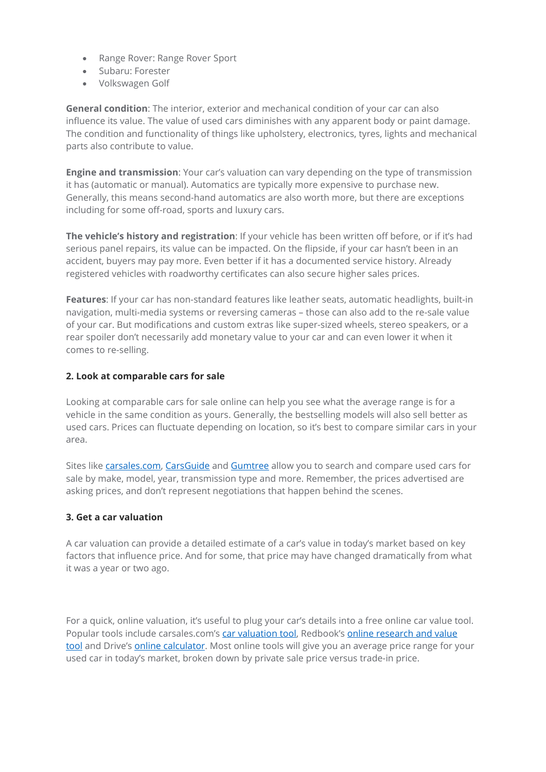- Range Rover: Range Rover Sport
- Subaru: Forester
- Volkswagen Golf

**General condition**: The interior, exterior and mechanical condition of your car can also influence its value. The value of used cars diminishes with any apparent body or paint damage. The condition and functionality of things like upholstery, electronics, tyres, lights and mechanical parts also contribute to value.

**Engine and transmission**: Your car's valuation can vary depending on the type of transmission it has (automatic or manual). Automatics are typically more expensive to purchase new. Generally, this means second-hand automatics are also worth more, but there are exceptions including for some off-road, sports and luxury cars.

**The vehicle's history and registration**: If your vehicle has been written off before, or if it's had serious panel repairs, its value can be impacted. On the flipside, if your car hasn't been in an accident, buyers may pay more. Even better if it has a documented service history. Already registered vehicles with roadworthy certificates can also secure higher sales prices.

**Features**: If your car has non-standard features like leather seats, automatic headlights, built-in navigation, multi-media systems or reversing cameras – those can also add to the re-sale value of your car. But modifications and custom extras like super-sized wheels, stereo speakers, or a rear spoiler don't necessarily add monetary value to your car and can even lower it when it comes to re-selling.

### **2. Look at comparable cars for sale**

Looking at comparable cars for sale online can help you see what the average range is for a vehicle in the same condition as yours. Generally, the bestselling models will also sell better as used cars. Prices can fluctuate depending on location, so it's best to compare similar cars in your area.

Sites like carsales.com, CarsGuide and Gumtree allow you to search and compare used cars for sale by make, model, year, transmission type and more. Remember, the prices advertised are asking prices, and don't represent negotiations that happen behind the scenes.

## **3. Get a car valuation**

A car valuation can provide a detailed estimate of a car's value in today's market based on key factors that influence price. And for some, that price may have changed dramatically from what it was a year or two ago.

For a quick, online valuation, it's useful to plug your car's details into a free online car value tool. Popular tools include carsales.com's car valuation tool, Redbook's online research and value tool and Drive's online calculator. Most online tools will give you an average price range for your used car in today's market, broken down by private sale price versus trade-in price.